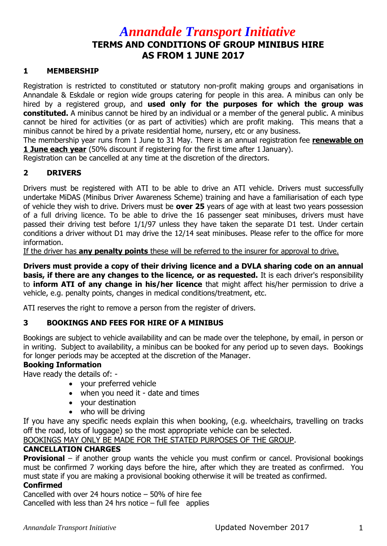# *Annandale Transport Initiative*  **TERMS AND CONDITIONS OF GROUP MINIBUS HIRE AS FROM 1 JUNE 2017**

## **1 MEMBERSHIP**

Registration is restricted to constituted or statutory non-profit making groups and organisations in Annandale & Eskdale or region wide groups catering for people in this area. A minibus can only be hired by a registered group, and **used only for the purposes for which the group was constituted.** A minibus cannot be hired by an individual or a member of the general public. A minibus cannot be hired for activities (or as part of activities) which are profit making. This means that a minibus cannot be hired by a private residential home, nursery, etc or any business.

The membership year runs from 1 June to 31 May. There is an annual registration fee **renewable on 1 June each year** (50% discount if registering for the first time after 1 January).

Registration can be cancelled at any time at the discretion of the directors.

# **2 DRIVERS**

Drivers must be registered with ATI to be able to drive an ATI vehicle. Drivers must successfully undertake MiDAS (Minibus Driver Awareness Scheme) training and have a familiarisation of each type of vehicle they wish to drive. Drivers must be **over 25** years of age with at least two years possession of a full driving licence. To be able to drive the 16 passenger seat minibuses, drivers must have passed their driving test before 1/1/97 unless they have taken the separate D1 test. Under certain conditions a driver without D1 may drive the 12/14 seat minibuses. Please refer to the office for more information.

If the driver has **any penalty points** these will be referred to the insurer for approval to drive.

**Drivers must provide a copy of their driving licence and a DVLA sharing code on an annual basis, if there are any changes to the licence, or as requested.** It is each driver's responsibility to **inform ATI of any change in his/her licence** that might affect his/her permission to drive a vehicle, e.g. penalty points, changes in medical conditions/treatment, etc.

ATI reserves the right to remove a person from the register of drivers.

# **3 BOOKINGS AND FEES FOR HIRE OF A MINIBUS**

Bookings are subject to vehicle availability and can be made over the telephone, by email, in person or in writing. Subject to availability, a minibus can be booked for any period up to seven days. Bookings for longer periods may be accepted at the discretion of the Manager.

# **Booking Information**

Have ready the details of: -

- your preferred vehicle
- when you need it date and times
- vour destination
- who will be driving

If you have any specific needs explain this when booking, (e.g. wheelchairs, travelling on tracks off the road, lots of luggage) so the most appropriate vehicle can be selected.

BOOKINGS MAY ONLY BE MADE FOR THE STATED PURPOSES OF THE GROUP.

#### **CANCELLATION CHARGES**

**Provisional** – if another group wants the vehicle you must confirm or cancel. Provisional bookings must be confirmed 7 working days before the hire, after which they are treated as confirmed. You must state if you are making a provisional booking otherwise it will be treated as confirmed.

#### **Confirmed**

Cancelled with over 24 hours notice – 50% of hire fee Cancelled with less than 24 hrs notice  $-$  full fee applies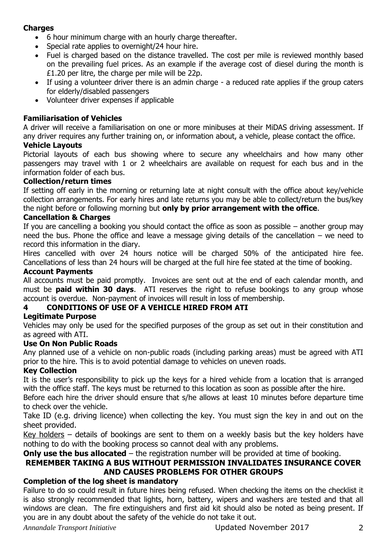# **Charges**

- 6 hour minimum charge with an hourly charge thereafter.
- Special rate applies to overnight/24 hour hire.
- Fuel is charged based on the distance travelled. The cost per mile is reviewed monthly based on the prevailing fuel prices. As an example if the average cost of diesel during the month is £1.20 per litre, the charge per mile will be 22p.
- If using a volunteer driver there is an admin charge a reduced rate applies if the group caters for elderly/disabled passengers
- Volunteer driver expenses if applicable

# **Familiarisation of Vehicles**

A driver will receive a familiarisation on one or more minibuses at their MiDAS driving assessment. If any driver requires any further training on, or information about, a vehicle, please contact the office.

## **Vehicle Layouts**

Pictorial layouts of each bus showing where to secure any wheelchairs and how many other passengers may travel with 1 or 2 wheelchairs are available on request for each bus and in the information folder of each bus.

## **Collection/return times**

If setting off early in the morning or returning late at night consult with the office about key/vehicle collection arrangements. For early hires and late returns you may be able to collect/return the bus/key the night before or following morning but **only by prior arrangement with the office**.

## **Cancellation & Charges**

If you are cancelling a booking you should contact the office as soon as possible – another group may need the bus. Phone the office and leave a message giving details of the cancellation – we need to record this information in the diary.

Hires cancelled with over 24 hours notice will be charged 50% of the anticipated hire fee. Cancellations of less than 24 hours will be charged at the full hire fee stated at the time of booking.

## **Account Payments**

All accounts must be paid promptly. Invoices are sent out at the end of each calendar month, and must be **paid within 30 days**. ATI reserves the right to refuse bookings to any group whose account is overdue. Non-payment of invoices will result in loss of membership.

# **4 CONDITIONS OF USE OF A VEHICLE HIRED FROM ATI**

# **Legitimate Purpose**

Vehicles may only be used for the specified purposes of the group as set out in their constitution and as agreed with ATI.

# **Use On Non Public Roads**

Any planned use of a vehicle on non-public roads (including parking areas) must be agreed with ATI prior to the hire. This is to avoid potential damage to vehicles on uneven roads.

# **Key Collection**

It is the user's responsibility to pick up the keys for a hired vehicle from a location that is arranged with the office staff. The keys must be returned to this location as soon as possible after the hire.

Before each hire the driver should ensure that s/he allows at least 10 minutes before departure time to check over the vehicle.

Take ID (e.g. driving licence) when collecting the key. You must sign the key in and out on the sheet provided.

Key holders – details of bookings are sent to them on a weekly basis but the key holders have nothing to do with the booking process so cannot deal with any problems.

# **Only use the bus allocated** – the registration number will be provided at time of booking.

# **REMEMBER TAKING A BUS WITHOUT PERMISSION INVALIDATES INSURANCE COVER AND CAUSES PROBLEMS FOR OTHER GROUPS**

# **Completion of the log sheet is mandatory**

Failure to do so could result in future hires being refused. When checking the items on the checklist it is also strongly recommended that lights, horn, battery, wipers and washers are tested and that all windows are clean. The fire extinguishers and first aid kit should also be noted as being present. If you are in any doubt about the safety of the vehicle do not take it out.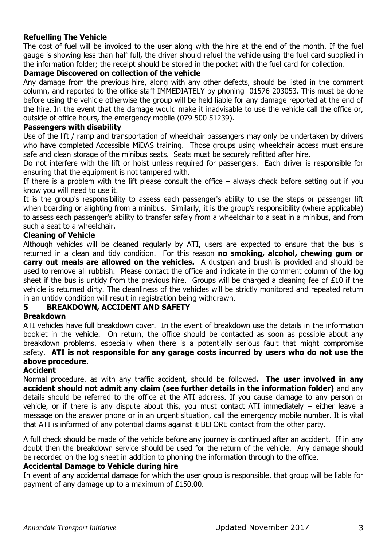## **Refuelling The Vehicle**

The cost of fuel will be invoiced to the user along with the hire at the end of the month. If the fuel gauge is showing less than half full, the driver should refuel the vehicle using the fuel card supplied in the information folder; the receipt should be stored in the pocket with the fuel card for collection.

#### **Damage Discovered on collection of the vehicle**

Any damage from the previous hire, along with any other defects, should be listed in the comment column, and reported to the office staff IMMEDIATELY by phoning 01576 203053. This must be done before using the vehicle otherwise the group will be held liable for any damage reported at the end of the hire. In the event that the damage would make it inadvisable to use the vehicle call the office or, outside of office hours, the emergency mobile (079 500 51239).

#### **Passengers with disability**

Use of the lift / ramp and transportation of wheelchair passengers may only be undertaken by drivers who have completed Accessible MiDAS training. Those groups using wheelchair access must ensure safe and clean storage of the minibus seats. Seats must be securely refitted after hire.

Do not interfere with the lift or hoist unless required for passengers. Each driver is responsible for ensuring that the equipment is not tampered with.

If there is a problem with the lift please consult the office  $-$  always check before setting out if you know you will need to use it.

It is the group's responsibility to assess each passenger's ability to use the steps or passenger lift when boarding or alighting from a minibus. Similarly, it is the group's responsibility (where applicable) to assess each passenger's ability to transfer safely from a wheelchair to a seat in a minibus, and from such a seat to a wheelchair.

#### **Cleaning of Vehicle**

Although vehicles will be cleaned regularly by ATI, users are expected to ensure that the bus is returned in a clean and tidy condition. For this reason **no smoking, alcohol, chewing gum or carry out meals are allowed on the vehicles.** A dustpan and brush is provided and should be used to remove all rubbish. Please contact the office and indicate in the comment column of the log sheet if the bus is untidy from the previous hire. Groups will be charged a cleaning fee of £10 if the vehicle is returned dirty. The cleanliness of the vehicles will be strictly monitored and repeated return in an untidy condition will result in registration being withdrawn.

# **5 BREAKDOWN, ACCIDENT AND SAFETY**

#### **Breakdown**

ATI vehicles have full breakdown cover. In the event of breakdown use the details in the information booklet in the vehicle. On return, the office should be contacted as soon as possible about any breakdown problems, especially when there is a potentially serious fault that might compromise safety. **ATI is not responsible for any garage costs incurred by users who do not use the above procedure.**

#### **Accident**

Normal procedure, as with any traffic accident, should be followed**. The user involved in any accident should not admit any claim (see further details in the information folder)** and any details should be referred to the office at the ATI address. If you cause damage to any person or vehicle, or if there is any dispute about this, you must contact ATI immediately – either leave a message on the answer phone or in an urgent situation, call the emergency mobile number. It is vital that ATI is informed of any potential claims against it BEFORE contact from the other party.

A full check should be made of the vehicle before any journey is continued after an accident. If in any doubt then the breakdown service should be used for the return of the vehicle. Any damage should be recorded on the log sheet in addition to phoning the information through to the office.

#### **Accidental Damage to Vehicle during hire**

In event of any accidental damage for which the user group is responsible, that group will be liable for payment of any damage up to a maximum of £150.00.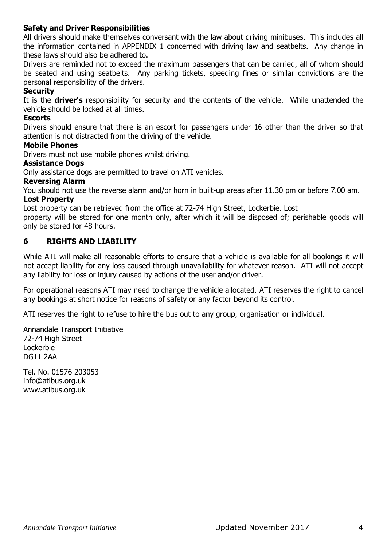## **Safety and Driver Responsibilities**

All drivers should make themselves conversant with the law about driving minibuses. This includes all the information contained in APPENDIX 1 concerned with driving law and seatbelts. Any change in these laws should also be adhered to.

Drivers are reminded not to exceed the maximum passengers that can be carried, all of whom should be seated and using seatbelts. Any parking tickets, speeding fines or similar convictions are the personal responsibility of the drivers.

#### **Security**

It is the **driver's** responsibility for security and the contents of the vehicle. While unattended the vehicle should be locked at all times.

#### **Escorts**

Drivers should ensure that there is an escort for passengers under 16 other than the driver so that attention is not distracted from the driving of the vehicle.

#### **Mobile Phones**

Drivers must not use mobile phones whilst driving.

#### **Assistance Dogs**

Only assistance dogs are permitted to travel on ATI vehicles.

#### **Reversing Alarm**

You should not use the reverse alarm and/or horn in built-up areas after 11.30 pm or before 7.00 am. **Lost Property**

Lost property can be retrieved from the office at 72-74 High Street, Lockerbie. Lost

property will be stored for one month only, after which it will be disposed of; perishable goods will only be stored for 48 hours.

#### **6 RIGHTS AND LIABILITY**

While ATI will make all reasonable efforts to ensure that a vehicle is available for all bookings it will not accept liability for any loss caused through unavailability for whatever reason. ATI will not accept any liability for loss or injury caused by actions of the user and/or driver.

For operational reasons ATI may need to change the vehicle allocated. ATI reserves the right to cancel any bookings at short notice for reasons of safety or any factor beyond its control.

ATI reserves the right to refuse to hire the bus out to any group, organisation or individual.

Annandale Transport Initiative 72-74 High Street Lockerbie DG11 2AA

Tel. No. 01576 203053 info@atibus.org.uk www.atibus.org.uk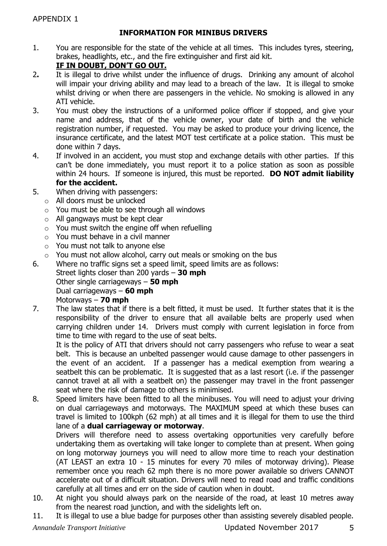# **INFORMATION FOR MINIBUS DRIVERS**

1. You are responsible for the state of the vehicle at all times. This includes tyres, steering, brakes, headlights, etc., and the fire extinguisher and first aid kit.

# **IF IN DOUBT, DON'T GO OUT.**

- 2**.** It is illegal to drive whilst under the influence of drugs. Drinking any amount of alcohol will impair your driving ability and may lead to a breach of the law. It is illegal to smoke whilst driving or when there are passengers in the vehicle. No smoking is allowed in any ATI vehicle.
- 3. You must obey the instructions of a uniformed police officer if stopped, and give your name and address, that of the vehicle owner, your date of birth and the vehicle registration number, if requested. You may be asked to produce your driving licence, the insurance certificate, and the latest MOT test certificate at a police station. This must be done within 7 days.
- 4. If involved in an accident, you must stop and exchange details with other parties. If this can't be done immediately, you must report it to a police station as soon as possible within 24 hours. If someone is injured, this must be reported. **DO NOT admit liability for the accident.**
- 5. When driving with passengers:
	- o All doors must be unlocked
	- $\circ$  You must be able to see through all windows
	- o All gangways must be kept clear
	- $\circ$  You must switch the engine off when refuelling
	- o You must behave in a civil manner
	- o You must not talk to anyone else
	- o You must not allow alcohol, carry out meals or smoking on the bus
- 6. Where no traffic signs set a speed limit, speed limits are as follows: Street lights closer than 200 yards – **30 mph** Other single carriageways – **50 mph** Dual carriageways – **60 mph** Motorways – **70 mph**
- 7. The law states that if there is a belt fitted, it must be used. It further states that it is the responsibility of the driver to ensure that all available belts are properly used when carrying children under 14. Drivers must comply with current legislation in force from time to time with regard to the use of seat belts.

It is the policy of ATI that drivers should not carry passengers who refuse to wear a seat belt. This is because an unbelted passenger would cause damage to other passengers in the event of an accident. If a passenger has a medical exemption from wearing a seatbelt this can be problematic. It is suggested that as a last resort (i.e. if the passenger cannot travel at all with a seatbelt on) the passenger may travel in the front passenger seat where the risk of damage to others is minimised.

8. Speed limiters have been fitted to all the minibuses. You will need to adjust your driving on dual carriageways and motorways. The MAXIMUM speed at which these buses can travel is limited to 100kph (62 mph) at all times and it is illegal for them to use the third lane of a **dual carriageway or motorway**.

Drivers will therefore need to assess overtaking opportunities very carefully before undertaking them as overtaking will take longer to complete than at present. When going on long motorway journeys you will need to allow more time to reach your destination (AT LEAST an extra 10 - 15 minutes for every 70 miles of motorway driving). Please remember once you reach 62 mph there is no more power available so drivers CANNOT accelerate out of a difficult situation. Drivers will need to read road and traffic conditions carefully at all times and err on the side of caution when in doubt.

- 10. At night you should always park on the nearside of the road, at least 10 metres away from the nearest road junction, and with the sidelights left on.
- 11. It is illegal to use a blue badge for purposes other than assisting severely disabled people.